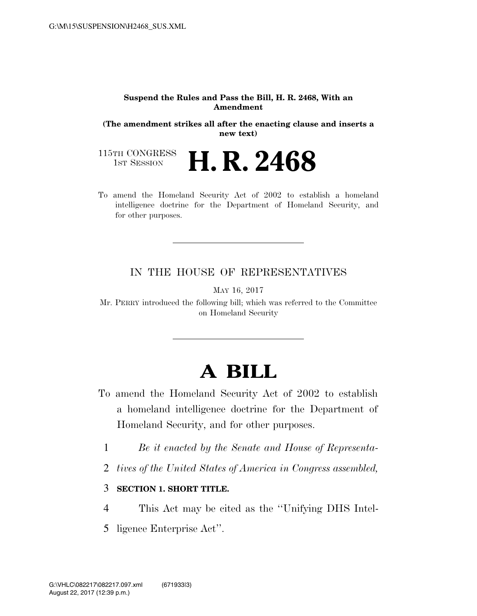#### **Suspend the Rules and Pass the Bill, H. R. 2468, With an Amendment**

**(The amendment strikes all after the enacting clause and inserts a new text)** 

115TH CONGRESS<br>1st Session H. R. 2468

To amend the Homeland Security Act of 2002 to establish a homeland intelligence doctrine for the Department of Homeland Security, and for other purposes.

#### IN THE HOUSE OF REPRESENTATIVES

MAY 16, 2017

Mr. PERRY introduced the following bill; which was referred to the Committee on Homeland Security

# **A BILL**

- To amend the Homeland Security Act of 2002 to establish a homeland intelligence doctrine for the Department of Homeland Security, and for other purposes.
	- 1 *Be it enacted by the Senate and House of Representa-*
	- 2 *tives of the United States of America in Congress assembled,*

### 3 **SECTION 1. SHORT TITLE.**

- 4 This Act may be cited as the ''Unifying DHS Intel-
- 5 ligence Enterprise Act''.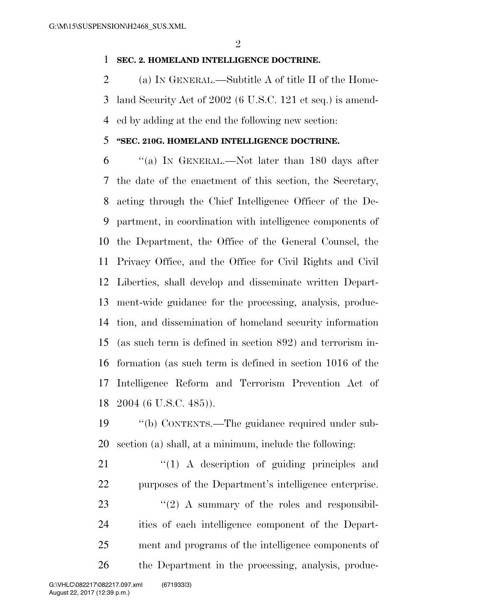### **SEC. 2. HOMELAND INTELLIGENCE DOCTRINE.**

 (a) IN GENERAL.—Subtitle A of title II of the Home- land Security Act of 2002 (6 U.S.C. 121 et seq.) is amend-ed by adding at the end the following new section:

### **''SEC. 210G. HOMELAND INTELLIGENCE DOCTRINE.**

 ''(a) IN GENERAL.—Not later than 180 days after the date of the enactment of this section, the Secretary, acting through the Chief Intelligence Officer of the De- partment, in coordination with intelligence components of the Department, the Office of the General Counsel, the Privacy Office, and the Office for Civil Rights and Civil Liberties, shall develop and disseminate written Depart- ment-wide guidance for the processing, analysis, produc- tion, and dissemination of homeland security information (as such term is defined in section 892) and terrorism in- formation (as such term is defined in section 1016 of the Intelligence Reform and Terrorism Prevention Act of 2004 (6 U.S.C. 485)).

 ''(b) CONTENTS.—The guidance required under sub-section (a) shall, at a minimum, include the following:

 $\frac{1}{2}$  (1) A description of guiding principles and purposes of the Department's intelligence enterprise.  $\frac{1}{2}$   $(2)$  A summary of the roles and responsibil- ities of each intelligence component of the Depart- ment and programs of the intelligence components of the Department in the processing, analysis, produc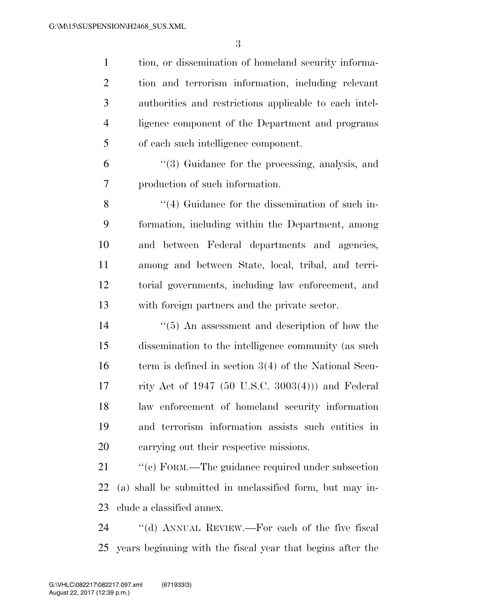tion, or dissemination of homeland security informa- tion and terrorism information, including relevant authorities and restrictions applicable to each intel- ligence component of the Department and programs of each such intelligence component.

 ''(3) Guidance for the processing, analysis, and production of such information.

8 ''(4) Guidance for the dissemination of such in- formation, including within the Department, among and between Federal departments and agencies, among and between State, local, tribal, and terri- torial governments, including law enforcement, and with foreign partners and the private sector.

 ''(5) An assessment and description of how the dissemination to the intelligence community (as such 16 term is defined in section 3(4) of the National Secu- rity Act of 1947 (50 U.S.C. 3003(4))) and Federal law enforcement of homeland security information and terrorism information assists such entities in carrying out their respective missions.

21 "'(c) FORM.—The guidance required under subsection (a) shall be submitted in unclassified form, but may in-clude a classified annex.

 ''(d) ANNUAL REVIEW.—For each of the five fiscal years beginning with the fiscal year that begins after the